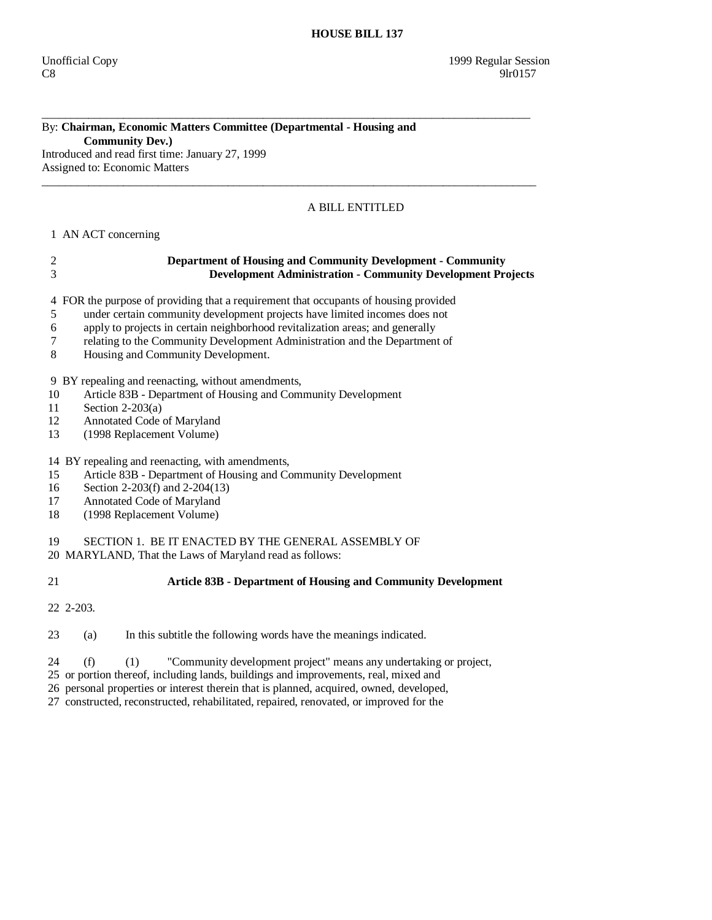# By: **Chairman, Economic Matters Committee (Departmental - Housing and Community Dev.)**

\_\_\_\_\_\_\_\_\_\_\_\_\_\_\_\_\_\_\_\_\_\_\_\_\_\_\_\_\_\_\_\_\_\_\_\_\_\_\_\_\_\_\_\_\_\_\_\_\_\_\_\_\_\_\_\_\_\_\_\_\_\_\_\_\_\_\_\_\_\_\_\_\_\_\_\_\_\_\_\_\_\_\_\_

Introduced and read first time: January 27, 1999 Assigned to: Economic Matters  $\_$  ,  $\_$  ,  $\_$  ,  $\_$  ,  $\_$  ,  $\_$  ,  $\_$  ,  $\_$  ,  $\_$  ,  $\_$  ,  $\_$  ,  $\_$  ,  $\_$  ,  $\_$  ,  $\_$  ,  $\_$  ,  $\_$  ,  $\_$  ,  $\_$  ,  $\_$  ,  $\_$  ,  $\_$  ,  $\_$  ,  $\_$  ,  $\_$  ,  $\_$  ,  $\_$  ,  $\_$  ,  $\_$  ,  $\_$  ,  $\_$  ,  $\_$  ,  $\_$  ,  $\_$  ,  $\_$  ,  $\_$  ,  $\_$  ,

## A BILL ENTITLED

### 1 AN ACT concerning

### 2 **Department of Housing and Community Development - Community**  3 **Development Administration - Community Development Projects**

4 FOR the purpose of providing that a requirement that occupants of housing provided

- 5 under certain community development projects have limited incomes does not
- 6 apply to projects in certain neighborhood revitalization areas; and generally
- 7 relating to the Community Development Administration and the Department of
- 8 Housing and Community Development.

9 BY repealing and reenacting, without amendments,

10 Article 83B - Department of Housing and Community Development

- 11 Section 2-203(a)
- 12 Annotated Code of Maryland
- 13 (1998 Replacement Volume)

## 14 BY repealing and reenacting, with amendments,

- 15 Article 83B Department of Housing and Community Development
- 16 Section 2-203(f) and 2-204(13)
- 17 Annotated Code of Maryland
- 18 (1998 Replacement Volume)

19 SECTION 1. BE IT ENACTED BY THE GENERAL ASSEMBLY OF

20 MARYLAND, That the Laws of Maryland read as follows:

### 21 **Article 83B - Department of Housing and Community Development**

22 2-203.

23 (a) In this subtitle the following words have the meanings indicated.

24 (f) (1) "Community development project" means any undertaking or project,

25 or portion thereof, including lands, buildings and improvements, real, mixed and

26 personal properties or interest therein that is planned, acquired, owned, developed,

27 constructed, reconstructed, rehabilitated, repaired, renovated, or improved for the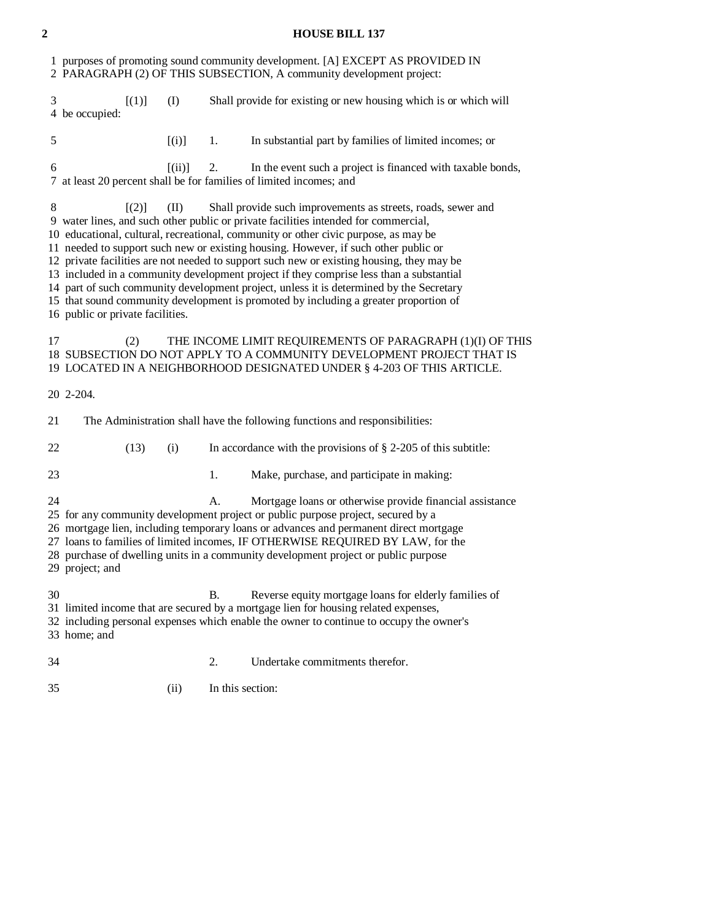## **2 HOUSE BILL 137**

|    | 1 purposes of promoting sound community development. [A] EXCEPT AS PROVIDED IN<br>2 PARAGRAPH (2) OF THIS SUBSECTION, A community development project:                                                                                                                                                                                                                                                                                                                                                                                                                                                                                                                                                                                                                          |        |           |                                                                                                                                                                                                                                         |  |  |
|----|---------------------------------------------------------------------------------------------------------------------------------------------------------------------------------------------------------------------------------------------------------------------------------------------------------------------------------------------------------------------------------------------------------------------------------------------------------------------------------------------------------------------------------------------------------------------------------------------------------------------------------------------------------------------------------------------------------------------------------------------------------------------------------|--------|-----------|-----------------------------------------------------------------------------------------------------------------------------------------------------------------------------------------------------------------------------------------|--|--|
| 3  | [(1)]<br>4 be occupied:                                                                                                                                                                                                                                                                                                                                                                                                                                                                                                                                                                                                                                                                                                                                                         | (I)    |           | Shall provide for existing or new housing which is or which will                                                                                                                                                                        |  |  |
| 5  |                                                                                                                                                                                                                                                                                                                                                                                                                                                                                                                                                                                                                                                                                                                                                                                 | [(i)]  | 1.        | In substantial part by families of limited incomes; or                                                                                                                                                                                  |  |  |
| 6  |                                                                                                                                                                                                                                                                                                                                                                                                                                                                                                                                                                                                                                                                                                                                                                                 | [(ii)] | 2.        | In the event such a project is financed with taxable bonds,<br>7 at least 20 percent shall be for families of limited incomes; and                                                                                                      |  |  |
| 8  | $\lceil (2) \rceil$<br>Shall provide such improvements as streets, roads, sewer and<br>(II)<br>9 water lines, and such other public or private facilities intended for commercial,<br>10 educational, cultural, recreational, community or other civic purpose, as may be<br>11 needed to support such new or existing housing. However, if such other public or<br>12 private facilities are not needed to support such new or existing housing, they may be<br>13 included in a community development project if they comprise less than a substantial<br>14 part of such community development project, unless it is determined by the Secretary<br>15 that sound community development is promoted by including a greater proportion of<br>16 public or private facilities. |        |           |                                                                                                                                                                                                                                         |  |  |
| 17 | (2)                                                                                                                                                                                                                                                                                                                                                                                                                                                                                                                                                                                                                                                                                                                                                                             |        |           | THE INCOME LIMIT REQUIREMENTS OF PARAGRAPH (1)(I) OF THIS<br>18 SUBSECTION DO NOT APPLY TO A COMMUNITY DEVELOPMENT PROJECT THAT IS<br>19 LOCATED IN A NEIGHBORHOOD DESIGNATED UNDER § 4-203 OF THIS ARTICLE.                            |  |  |
|    | 20 2-204.                                                                                                                                                                                                                                                                                                                                                                                                                                                                                                                                                                                                                                                                                                                                                                       |        |           |                                                                                                                                                                                                                                         |  |  |
| 21 | The Administration shall have the following functions and responsibilities:                                                                                                                                                                                                                                                                                                                                                                                                                                                                                                                                                                                                                                                                                                     |        |           |                                                                                                                                                                                                                                         |  |  |
| 22 | (13)                                                                                                                                                                                                                                                                                                                                                                                                                                                                                                                                                                                                                                                                                                                                                                            | (i)    |           | In accordance with the provisions of $\S$ 2-205 of this subtitle:                                                                                                                                                                       |  |  |
| 23 |                                                                                                                                                                                                                                                                                                                                                                                                                                                                                                                                                                                                                                                                                                                                                                                 |        | 1.        | Make, purchase, and participate in making:                                                                                                                                                                                              |  |  |
| 24 | А.<br>Mortgage loans or otherwise provide financial assistance<br>25 for any community development project or public purpose project, secured by a<br>26 mortgage lien, including temporary loans or advances and permanent direct mortgage<br>27 loans to families of limited incomes, IF OTHERWISE REQUIRED BY LAW, for the<br>28 purchase of dwelling units in a community development project or public purpose<br>29 project; and                                                                                                                                                                                                                                                                                                                                          |        |           |                                                                                                                                                                                                                                         |  |  |
| 30 | 33 home; and                                                                                                                                                                                                                                                                                                                                                                                                                                                                                                                                                                                                                                                                                                                                                                    |        | <b>B.</b> | Reverse equity mortgage loans for elderly families of<br>31 limited income that are secured by a mortgage lien for housing related expenses,<br>32 including personal expenses which enable the owner to continue to occupy the owner's |  |  |
| 34 |                                                                                                                                                                                                                                                                                                                                                                                                                                                                                                                                                                                                                                                                                                                                                                                 |        | 2.        | Undertake commitments therefor.                                                                                                                                                                                                         |  |  |
| 35 |                                                                                                                                                                                                                                                                                                                                                                                                                                                                                                                                                                                                                                                                                                                                                                                 | (ii)   |           | In this section:                                                                                                                                                                                                                        |  |  |